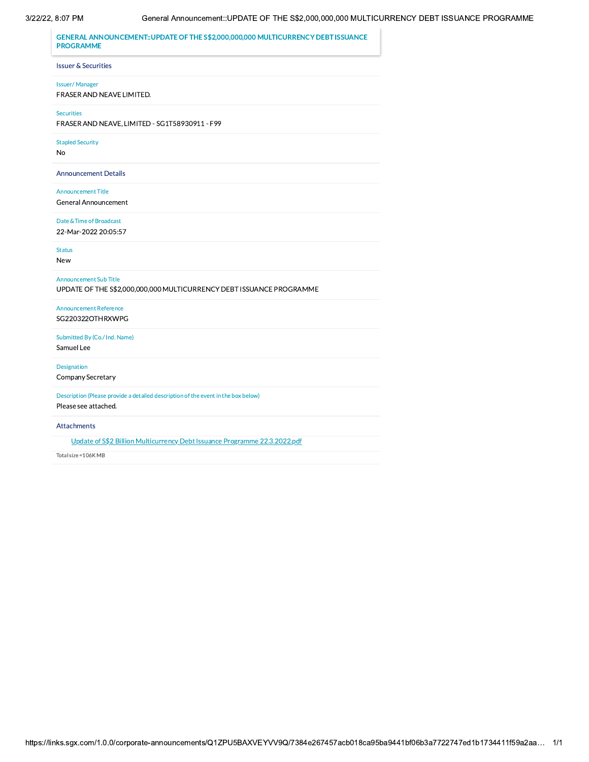## 3/22/22, 8:07 PM

GENERAL ANNOUNCEMENT::UPDATE OF THE S\$2,000,000,000 MULTICURRENCY DEBT ISSUANCE **PROGRAMME Issuer & Securities Issuer/Manager** FRASER AND NEAVE LIMITED. Securities FRASER AND NEAVE, LIMITED - SG1T58930911 - F99 **Stapled Security** No **Announcement Details Announcement Title** General Announcement Date & Time of Broadcast 22-Mar-2022 20:05:57 **Status** New Announcement Sub Title UPDATE OF THE S\$2,000,000,000 MULTICURRENCY DEBT ISSUANCE PROGRAMME **Announcement Reference** SG220322OTHRXWPG Submitted By (Co./ Ind. Name) Samuel Lee Designation Company Secretary Description (Please provide a detailed description of the event in the box below) Please see attached.

Attachments

Update of S\$2 Billion Multicurrency Debt Issuance Programme 22.3.2022.pdf

Total size = 106K MB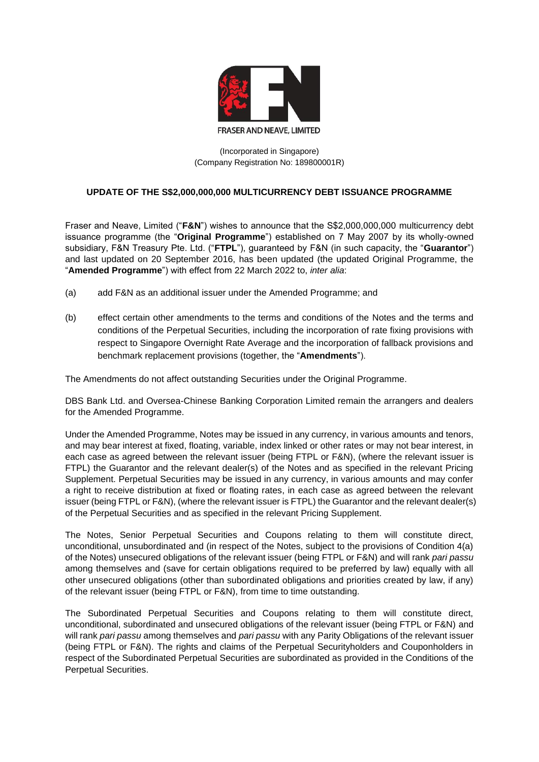

(Incorporated in Singapore) (Company Registration No: 189800001R)

## **UPDATE OF THE S\$2,000,000,000 MULTICURRENCY DEBT ISSUANCE PROGRAMME**

Fraser and Neave, Limited ("**F&N**") wishes to announce that the S\$2,000,000,000 multicurrency debt issuance programme (the "**Original Programme**") established on 7 May 2007 by its wholly-owned subsidiary, F&N Treasury Pte. Ltd. ("**FTPL**"), guaranteed by F&N (in such capacity, the "**Guarantor**") and last updated on 20 September 2016, has been updated (the updated Original Programme, the "**Amended Programme**") with effect from 22 March 2022 to, *inter alia*:

- (a) add F&N as an additional issuer under the Amended Programme; and
- (b) effect certain other amendments to the terms and conditions of the Notes and the terms and conditions of the Perpetual Securities, including the incorporation of rate fixing provisions with respect to Singapore Overnight Rate Average and the incorporation of fallback provisions and benchmark replacement provisions (together, the "**Amendments**").

The Amendments do not affect outstanding Securities under the Original Programme.

DBS Bank Ltd. and Oversea-Chinese Banking Corporation Limited remain the arrangers and dealers for the Amended Programme.

Under the Amended Programme, Notes may be issued in any currency, in various amounts and tenors, and may bear interest at fixed, floating, variable, index linked or other rates or may not bear interest, in each case as agreed between the relevant issuer (being FTPL or F&N), (where the relevant issuer is FTPL) the Guarantor and the relevant dealer(s) of the Notes and as specified in the relevant Pricing Supplement. Perpetual Securities may be issued in any currency, in various amounts and may confer a right to receive distribution at fixed or floating rates, in each case as agreed between the relevant issuer (being FTPL or F&N), (where the relevant issuer is FTPL) the Guarantor and the relevant dealer(s) of the Perpetual Securities and as specified in the relevant Pricing Supplement.

The Notes, Senior Perpetual Securities and Coupons relating to them will constitute direct, unconditional, unsubordinated and (in respect of the Notes, subject to the provisions of Condition 4(a) of the Notes) unsecured obligations of the relevant issuer (being FTPL or F&N) and will rank *pari passu* among themselves and (save for certain obligations required to be preferred by law) equally with all other unsecured obligations (other than subordinated obligations and priorities created by law, if any) of the relevant issuer (being FTPL or F&N), from time to time outstanding.

The Subordinated Perpetual Securities and Coupons relating to them will constitute direct, unconditional, subordinated and unsecured obligations of the relevant issuer (being FTPL or F&N) and will rank *pari passu* among themselves and *pari passu* with any Parity Obligations of the relevant issuer (being FTPL or F&N). The rights and claims of the Perpetual Securityholders and Couponholders in respect of the Subordinated Perpetual Securities are subordinated as provided in the Conditions of the Perpetual Securities.